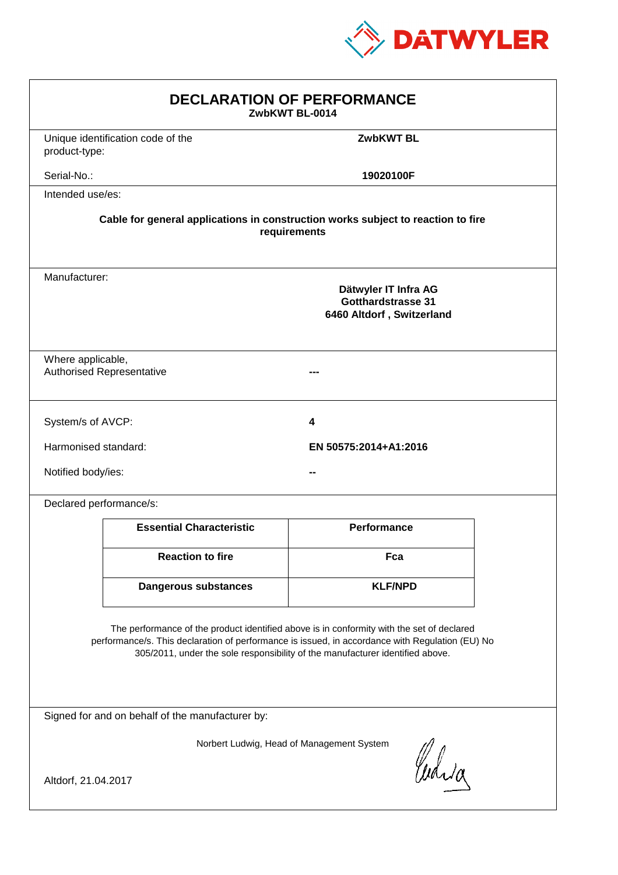

| <b>DECLARATION OF PERFORMANCE</b><br>ZwbKWT BL-0014                                                                                                                                                                                                                           |                                                                                                 |                       |  |  |
|-------------------------------------------------------------------------------------------------------------------------------------------------------------------------------------------------------------------------------------------------------------------------------|-------------------------------------------------------------------------------------------------|-----------------------|--|--|
| product-type:                                                                                                                                                                                                                                                                 | Unique identification code of the                                                               | <b>ZwbKWT BL</b>      |  |  |
| Serial-No.:                                                                                                                                                                                                                                                                   |                                                                                                 | 19020100F             |  |  |
| Intended use/es:                                                                                                                                                                                                                                                              |                                                                                                 |                       |  |  |
| Cable for general applications in construction works subject to reaction to fire<br>requirements                                                                                                                                                                              |                                                                                                 |                       |  |  |
|                                                                                                                                                                                                                                                                               | Manufacturer:<br>Dätwyler IT Infra AG<br><b>Gotthardstrasse 31</b><br>6460 Altdorf, Switzerland |                       |  |  |
| Where applicable,<br><b>Authorised Representative</b>                                                                                                                                                                                                                         |                                                                                                 |                       |  |  |
| System/s of AVCP:                                                                                                                                                                                                                                                             |                                                                                                 | 4                     |  |  |
| Harmonised standard:                                                                                                                                                                                                                                                          |                                                                                                 | EN 50575:2014+A1:2016 |  |  |
| Notified body/ies:                                                                                                                                                                                                                                                            |                                                                                                 |                       |  |  |
| Declared performance/s:                                                                                                                                                                                                                                                       |                                                                                                 |                       |  |  |
|                                                                                                                                                                                                                                                                               | <b>Essential Characteristic</b>                                                                 | <b>Performance</b>    |  |  |
|                                                                                                                                                                                                                                                                               | <b>Reaction to fire</b>                                                                         | Fca                   |  |  |
|                                                                                                                                                                                                                                                                               | <b>Dangerous substances</b>                                                                     | <b>KLF/NPD</b>        |  |  |
| The performance of the product identified above is in conformity with the set of declared<br>performance/s. This declaration of performance is issued, in accordance with Regulation (EU) No<br>305/2011, under the sole responsibility of the manufacturer identified above. |                                                                                                 |                       |  |  |
| Signed for and on behalf of the manufacturer by:                                                                                                                                                                                                                              |                                                                                                 |                       |  |  |
| Norbert Ludwig, Head of Management System<br>Curia                                                                                                                                                                                                                            |                                                                                                 |                       |  |  |
| Altdorf, 21.04.2017                                                                                                                                                                                                                                                           |                                                                                                 |                       |  |  |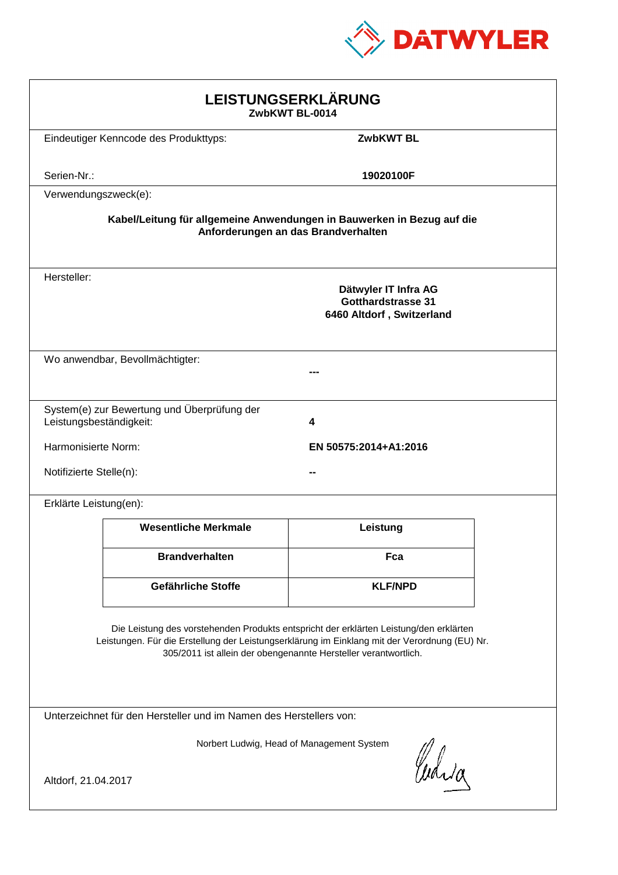

| LEISTUNGSERKLÄRUNG<br>ZwbKWT BL-0014                                                                                                                                                                                                                       |                                             |                                                                                |  |  |
|------------------------------------------------------------------------------------------------------------------------------------------------------------------------------------------------------------------------------------------------------------|---------------------------------------------|--------------------------------------------------------------------------------|--|--|
|                                                                                                                                                                                                                                                            | Eindeutiger Kenncode des Produkttyps:       | <b>ZwbKWT BL</b>                                                               |  |  |
| Serien-Nr.:                                                                                                                                                                                                                                                |                                             | 19020100F                                                                      |  |  |
| Verwendungszweck(e):                                                                                                                                                                                                                                       |                                             |                                                                                |  |  |
| Kabel/Leitung für allgemeine Anwendungen in Bauwerken in Bezug auf die<br>Anforderungen an das Brandverhalten                                                                                                                                              |                                             |                                                                                |  |  |
| Hersteller:                                                                                                                                                                                                                                                |                                             | Dätwyler IT Infra AG<br><b>Gotthardstrasse 31</b><br>6460 Altdorf, Switzerland |  |  |
|                                                                                                                                                                                                                                                            | Wo anwendbar, Bevollmächtigter:             |                                                                                |  |  |
| Leistungsbeständigkeit:                                                                                                                                                                                                                                    | System(e) zur Bewertung und Überprüfung der | 4                                                                              |  |  |
| Harmonisierte Norm:                                                                                                                                                                                                                                        |                                             | EN 50575:2014+A1:2016                                                          |  |  |
| Notifizierte Stelle(n):                                                                                                                                                                                                                                    |                                             |                                                                                |  |  |
| Erklärte Leistung(en):                                                                                                                                                                                                                                     |                                             |                                                                                |  |  |
|                                                                                                                                                                                                                                                            | <b>Wesentliche Merkmale</b>                 | Leistung                                                                       |  |  |
|                                                                                                                                                                                                                                                            | <b>Brandverhalten</b>                       | Fca                                                                            |  |  |
|                                                                                                                                                                                                                                                            | Gefährliche Stoffe                          | <b>KLF/NPD</b>                                                                 |  |  |
| Die Leistung des vorstehenden Produkts entspricht der erklärten Leistung/den erklärten<br>Leistungen. Für die Erstellung der Leistungserklärung im Einklang mit der Verordnung (EU) Nr.<br>305/2011 ist allein der obengenannte Hersteller verantwortlich. |                                             |                                                                                |  |  |
| Unterzeichnet für den Hersteller und im Namen des Herstellers von:                                                                                                                                                                                         |                                             |                                                                                |  |  |
| Norbert Ludwig, Head of Management System<br>Curia<br>Altdorf, 21.04.2017                                                                                                                                                                                  |                                             |                                                                                |  |  |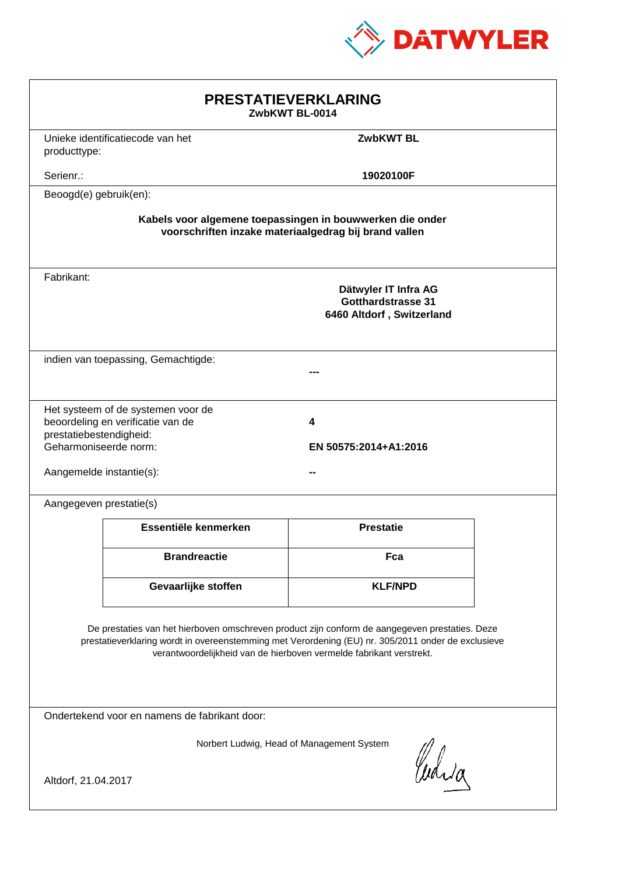

| <b>PRESTATIEVERKLARING</b><br>ZwbKWT BL-0014                                                                                                                                                                                                                                |                                                                         |                                                                                |  |  |
|-----------------------------------------------------------------------------------------------------------------------------------------------------------------------------------------------------------------------------------------------------------------------------|-------------------------------------------------------------------------|--------------------------------------------------------------------------------|--|--|
| producttype:                                                                                                                                                                                                                                                                | Unieke identificatiecode van het                                        | <b>ZwbKWT BL</b>                                                               |  |  |
| Serienr.:                                                                                                                                                                                                                                                                   |                                                                         | 19020100F                                                                      |  |  |
| Beoogd(e) gebruik(en):                                                                                                                                                                                                                                                      |                                                                         |                                                                                |  |  |
| Kabels voor algemene toepassingen in bouwwerken die onder<br>voorschriften inzake materiaalgedrag bij brand vallen                                                                                                                                                          |                                                                         |                                                                                |  |  |
| Fabrikant:                                                                                                                                                                                                                                                                  |                                                                         | Dätwyler IT Infra AG<br><b>Gotthardstrasse 31</b><br>6460 Altdorf, Switzerland |  |  |
|                                                                                                                                                                                                                                                                             | indien van toepassing, Gemachtigde:                                     |                                                                                |  |  |
| prestatiebestendigheid:<br>Geharmoniseerde norm:<br>Aangemelde instantie(s):                                                                                                                                                                                                | Het systeem of de systemen voor de<br>beoordeling en verificatie van de | 4<br>EN 50575:2014+A1:2016                                                     |  |  |
| Aangegeven prestatie(s)                                                                                                                                                                                                                                                     |                                                                         |                                                                                |  |  |
|                                                                                                                                                                                                                                                                             | Essentiële kenmerken                                                    | <b>Prestatie</b>                                                               |  |  |
|                                                                                                                                                                                                                                                                             | <b>Brandreactie</b>                                                     | Fca                                                                            |  |  |
|                                                                                                                                                                                                                                                                             | Gevaarlijke stoffen                                                     | <b>KLF/NPD</b>                                                                 |  |  |
| De prestaties van het hierboven omschreven product zijn conform de aangegeven prestaties. Deze<br>prestatieverklaring wordt in overeenstemming met Verordening (EU) nr. 305/2011 onder de exclusieve<br>verantwoordelijkheid van de hierboven vermelde fabrikant verstrekt. |                                                                         |                                                                                |  |  |
| Ondertekend voor en namens de fabrikant door:                                                                                                                                                                                                                               |                                                                         |                                                                                |  |  |
| Norbert Ludwig, Head of Management System<br>Curia<br>Altdorf, 21.04.2017                                                                                                                                                                                                   |                                                                         |                                                                                |  |  |
|                                                                                                                                                                                                                                                                             |                                                                         |                                                                                |  |  |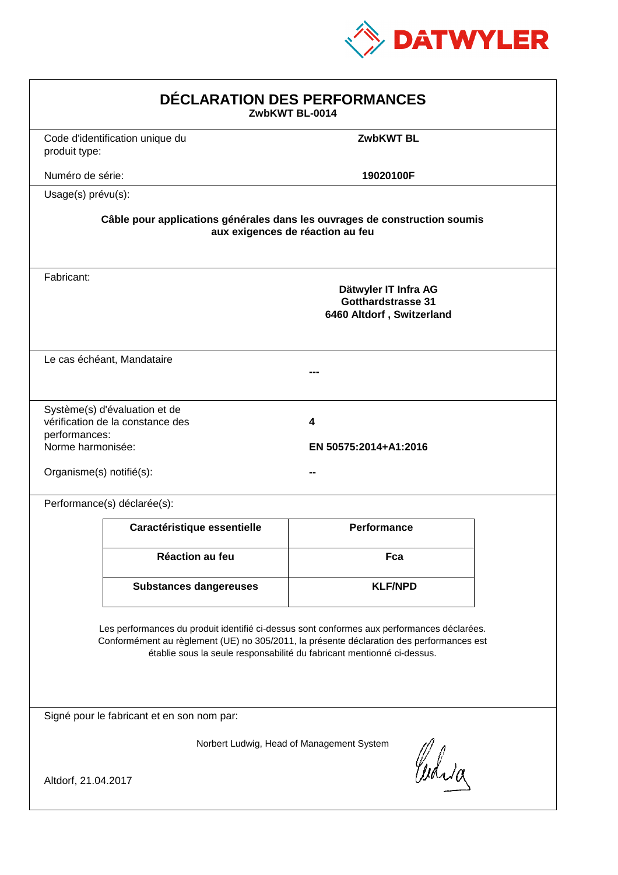

| DÉCLARATION DES PERFORMANCES<br>ZwbKWT BL-0014                                                                                                                                                                                                                   |                                                                                                                |                                                                                |  |  |  |
|------------------------------------------------------------------------------------------------------------------------------------------------------------------------------------------------------------------------------------------------------------------|----------------------------------------------------------------------------------------------------------------|--------------------------------------------------------------------------------|--|--|--|
| produit type:                                                                                                                                                                                                                                                    | Code d'identification unique du                                                                                | <b>ZwbKWT BL</b>                                                               |  |  |  |
| Numéro de série:                                                                                                                                                                                                                                                 |                                                                                                                | 19020100F                                                                      |  |  |  |
| Usage(s) prévu(s):                                                                                                                                                                                                                                               |                                                                                                                |                                                                                |  |  |  |
|                                                                                                                                                                                                                                                                  | Câble pour applications générales dans les ouvrages de construction soumis<br>aux exigences de réaction au feu |                                                                                |  |  |  |
| Fabricant:                                                                                                                                                                                                                                                       |                                                                                                                | Dätwyler IT Infra AG<br><b>Gotthardstrasse 31</b><br>6460 Altdorf, Switzerland |  |  |  |
|                                                                                                                                                                                                                                                                  | Le cas échéant, Mandataire                                                                                     |                                                                                |  |  |  |
| performances:<br>Norme harmonisée:<br>Organisme(s) notifié(s):                                                                                                                                                                                                   | Système(s) d'évaluation et de<br>vérification de la constance des                                              | 4<br>EN 50575:2014+A1:2016                                                     |  |  |  |
|                                                                                                                                                                                                                                                                  | Performance(s) déclarée(s):                                                                                    |                                                                                |  |  |  |
|                                                                                                                                                                                                                                                                  | Caractéristique essentielle                                                                                    | <b>Performance</b>                                                             |  |  |  |
|                                                                                                                                                                                                                                                                  | Réaction au feu                                                                                                | Fca                                                                            |  |  |  |
|                                                                                                                                                                                                                                                                  | <b>Substances dangereuses</b>                                                                                  | <b>KLF/NPD</b>                                                                 |  |  |  |
| Les performances du produit identifié ci-dessus sont conformes aux performances déclarées.<br>Conformément au règlement (UE) no 305/2011, la présente déclaration des performances est<br>établie sous la seule responsabilité du fabricant mentionné ci-dessus. |                                                                                                                |                                                                                |  |  |  |
| Signé pour le fabricant et en son nom par:                                                                                                                                                                                                                       |                                                                                                                |                                                                                |  |  |  |
| Norbert Ludwig, Head of Management System<br>Curia<br>Altdorf, 21.04.2017                                                                                                                                                                                        |                                                                                                                |                                                                                |  |  |  |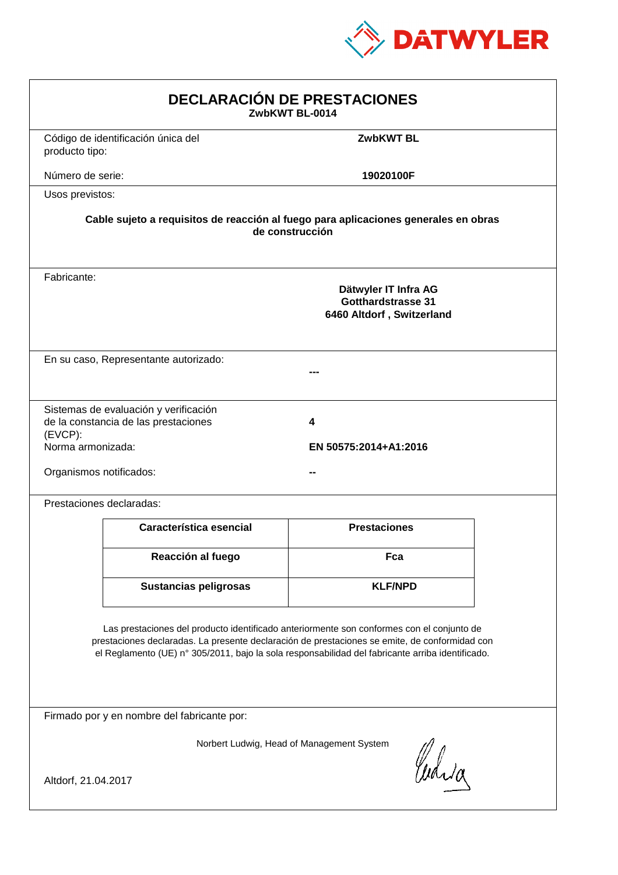

| <b>DECLARACIÓN DE PRESTACIONES</b><br>ZwbKWT BL-0014                                                                                                                                                                                                                                           |                                                                                                        |                            |  |  |  |
|------------------------------------------------------------------------------------------------------------------------------------------------------------------------------------------------------------------------------------------------------------------------------------------------|--------------------------------------------------------------------------------------------------------|----------------------------|--|--|--|
| producto tipo:                                                                                                                                                                                                                                                                                 | Código de identificación única del                                                                     | <b>ZwbKWT BL</b>           |  |  |  |
| Número de serie:                                                                                                                                                                                                                                                                               |                                                                                                        | 19020100F                  |  |  |  |
| Usos previstos:                                                                                                                                                                                                                                                                                |                                                                                                        |                            |  |  |  |
|                                                                                                                                                                                                                                                                                                | Cable sujeto a requisitos de reacción al fuego para aplicaciones generales en obras<br>de construcción |                            |  |  |  |
| Fabricante:                                                                                                                                                                                                                                                                                    | Dätwyler IT Infra AG<br><b>Gotthardstrasse 31</b><br>6460 Altdorf, Switzerland                         |                            |  |  |  |
|                                                                                                                                                                                                                                                                                                | En su caso, Representante autorizado:                                                                  |                            |  |  |  |
| (EVCP):<br>Norma armonizada:<br>Organismos notificados:                                                                                                                                                                                                                                        | Sistemas de evaluación y verificación<br>de la constancia de las prestaciones                          | 4<br>EN 50575:2014+A1:2016 |  |  |  |
|                                                                                                                                                                                                                                                                                                | Prestaciones declaradas:                                                                               |                            |  |  |  |
|                                                                                                                                                                                                                                                                                                | Característica esencial                                                                                | <b>Prestaciones</b>        |  |  |  |
|                                                                                                                                                                                                                                                                                                | Reacción al fuego                                                                                      | Fca                        |  |  |  |
|                                                                                                                                                                                                                                                                                                | <b>Sustancias peligrosas</b>                                                                           | <b>KLF/NPD</b>             |  |  |  |
| Las prestaciones del producto identificado anteriormente son conformes con el conjunto de<br>prestaciones declaradas. La presente declaración de prestaciones se emite, de conformidad con<br>el Reglamento (UE) nº 305/2011, bajo la sola responsabilidad del fabricante arriba identificado. |                                                                                                        |                            |  |  |  |
|                                                                                                                                                                                                                                                                                                | Firmado por y en nombre del fabricante por:                                                            |                            |  |  |  |
| Norbert Ludwig, Head of Management System<br>Curia<br>Altdorf, 21.04.2017                                                                                                                                                                                                                      |                                                                                                        |                            |  |  |  |